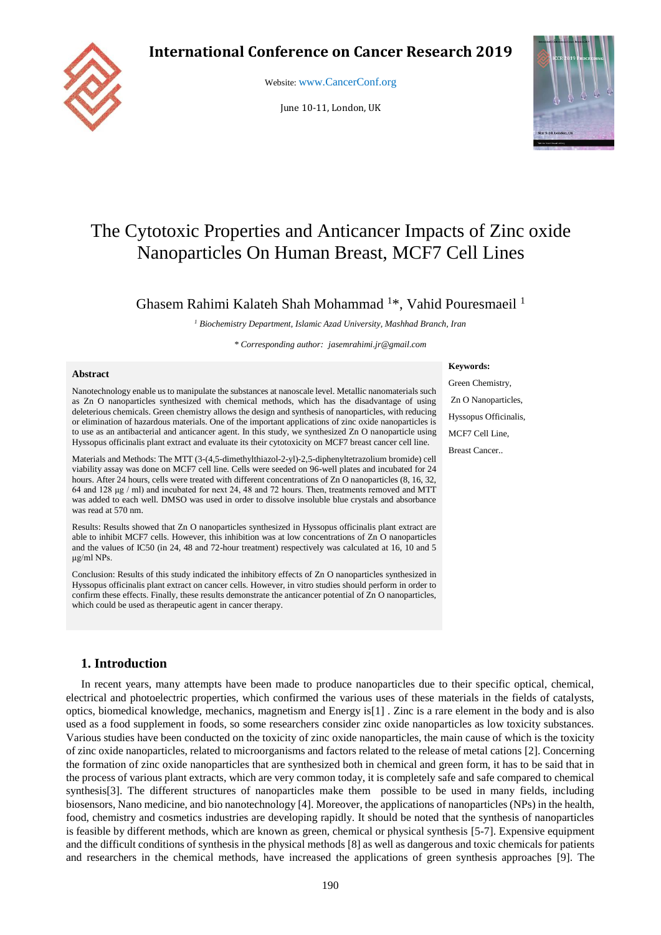## **International Conference on Cancer Research 2019**



Website: [www.CancerConf.org](file:///C:/Users/asus/AppData/Local/Temp/www.CancerConf.org)

June 10-11, London, UK



# The Cytotoxic Properties and Anticancer Impacts of Zinc oxide Nanoparticles On Human Breast, MCF7 Cell Lines

## Ghasem Rahimi Kalateh Shah Mohammad <sup>1</sup>\*, Vahid Pouresmaeil <sup>1</sup>

*<sup>1</sup> Biochemistry Department, Islamic Azad University, Mashhad Branch, Iran*

*\* Corresponding author[: jasemrahimi.jr@gmail.com](mailto:prosenjitganguli@hotmail.com)*

#### **Abstract**

Nanotechnology enable us to manipulate the substances at nanoscale level. Metallic nanomaterials such as Zn O nanoparticles synthesized with chemical methods, which has the disadvantage of using deleterious chemicals. Green chemistry allows the design and synthesis of nanoparticles, with reducing or elimination of hazardous materials. One of the important applications of zinc oxide nanoparticles is to use as an antibacterial and anticancer agent. In this study, we synthesized Zn O nanoparticle using Hyssopus officinalis plant extract and evaluate its their cytotoxicity on MCF7 breast cancer cell line.

Materials and Methods: The MTT (3-(4,5-dimethylthiazol-2-yl)-2,5-diphenyltetrazolium bromide) cell viability assay was done on MCF7 cell line. Cells were seeded on 96-well plates and incubated for 24 hours. After 24 hours, cells were treated with different concentrations of Zn O nanoparticles (8, 16, 32, 64 and 128 μg / ml) and incubated for next 24, 48 and 72 hours. Then, treatments removed and MTT was added to each well. DMSO was used in order to dissolve insoluble blue crystals and absorbance was read at 570 nm.

Results: Results showed that Zn O nanoparticles synthesized in Hyssopus officinalis plant extract are able to inhibit MCF7 cells. However, this inhibition was at low concentrations of Zn O nanoparticles and the values of IC50 (in 24, 48 and 72-hour treatment) respectively was calculated at 16, 10 and 5 μg/ml NPs.

Conclusion: Results of this study indicated the inhibitory effects of Zn O nanoparticles synthesized in Hyssopus officinalis plant extract on cancer cells. However, in vitro studies should perform in order to confirm these effects. Finally, these results demonstrate the anticancer potential of Zn O nanoparticles, which could be used as therapeutic agent in cancer therapy.

#### **1. Introduction**

In recent years, many attempts have been made to produce nanoparticles due to their specific optical, chemical, electrical and photoelectric properties, which confirmed the various uses of these materials in the fields of catalysts, optics, biomedical knowledge, mechanics, magnetism and Energy is[1] . Zinc is a rare element in the body and is also used as a food supplement in foods, so some researchers consider zinc oxide nanoparticles as low toxicity substances. Various studies have been conducted on the toxicity of zinc oxide nanoparticles, the main cause of which is the toxicity of zinc oxide nanoparticles, related to microorganisms and factors related to the release of metal cations [2]. Concerning the formation of zinc oxide nanoparticles that are synthesized both in chemical and green form, it has to be said that in the process of various plant extracts, which are very common today, it is completely safe and safe compared to chemical synthesis<sup>[3]</sup>. The different structures of nanoparticles make them possible to be used in many fields, including biosensors, Nano medicine, and bio nanotechnology [4]. Moreover, the applications of nanoparticles (NPs) in the health, food, chemistry and cosmetics industries are developing rapidly. It should be noted that the synthesis of nanoparticles is feasible by different methods, which are known as green, chemical or physical synthesis [5-7]. Expensive equipment and the difficult conditions of synthesis in the physical methods [8] as well as dangerous and toxic chemicals for patients and researchers in the chemical methods, have increased the applications of green synthesis approaches [9]. The

Green Chemistry, Zn O Nanoparticles, Hyssopus Officinalis,

**Keywords:** 

MCF7 Cell Line,

Breast Cancer..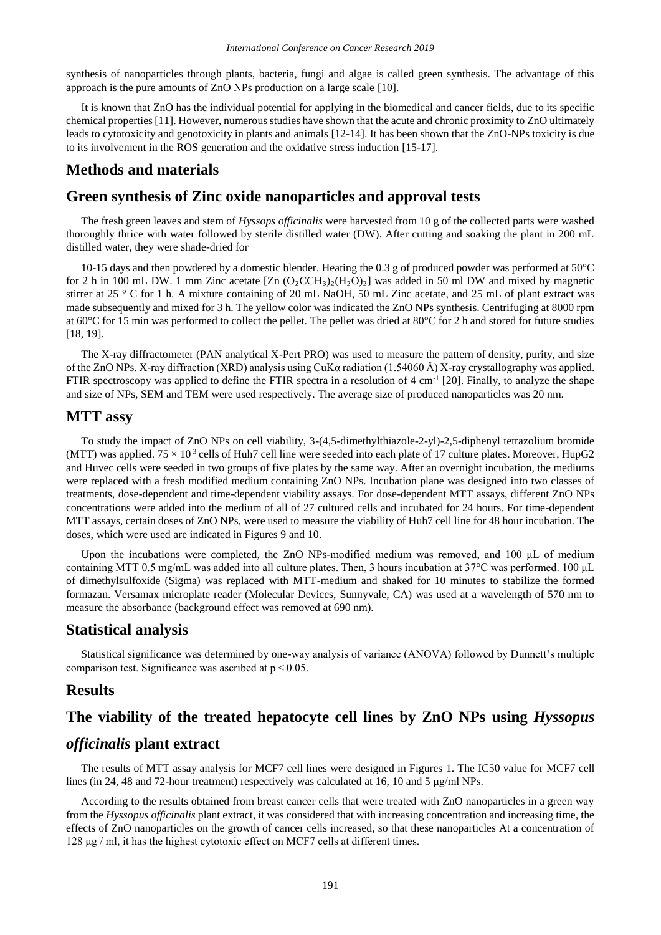synthesis of nanoparticles through plants, bacteria, fungi and algae is called green synthesis. The advantage of this approach is the pure amounts of ZnO NPs production on a large scale [10].

It is known that ZnO has the individual potential for applying in the biomedical and cancer fields, due to its specific chemical properties [11]. However, numerous studies have shown that the acute and chronic proximity to ZnO ultimately leads to cytotoxicity and genotoxicity in plants and animals [12-14]. It has been shown that the ZnO-NPs toxicity is due to its involvement in the ROS generation and the oxidative stress induction [15-17].

## **Methods and materials**

## **Green synthesis of Zinc oxide nanoparticles and approval tests**

The fresh green leaves and stem of *Hyssops officinalis* were harvested from 10 g of the collected parts were washed thoroughly thrice with water followed by sterile distilled water (DW). After cutting and soaking the plant in 200 mL distilled water, they were shade-dried for

10-15 days and then powdered by a domestic blender. Heating the 0.3 g of produced powder was performed at 50°C for 2 h in 100 mL DW. 1 mm Zinc acetate  $[Zn (O_2CCH_3)_2(H_2O)_2]$  was added in 50 ml DW and mixed by magnetic stirrer at 25 ° C for 1 h. A mixture containing of 20 mL NaOH, 50 mL Zinc acetate, and 25 mL of plant extract was made subsequently and mixed for 3 h. The yellow color was indicated the ZnO NPs synthesis. Centrifuging at 8000 rpm at 60°C for 15 min was performed to collect the pellet. The pellet was dried at 80°C for 2 h and stored for future studies [18, 19].

The X-ray diffractometer (PAN analytical X-Pert PRO) was used to measure the pattern of density, purity, and size of the ZnO NPs. X-ray diffraction (XRD) analysis using CuK $\alpha$  radiation (1.54060 Å) X-ray crystallography was applied. FTIR spectroscopy was applied to define the FTIR spectra in a resolution of  $4 \text{ cm}^{-1}$  [20]. Finally, to analyze the shape and size of NPs, SEM and TEM were used respectively. The average size of produced nanoparticles was 20 nm.

#### **MTT assy**

To study the impact of ZnO NPs on cell viability, 3-(4,5-dimethylthiazole-2-yl)-2,5-diphenyl tetrazolium bromide (MTT) was applied.  $75 \times 10^3$  cells of Huh7 cell line were seeded into each plate of 17 culture plates. Moreover, HupG2 and Huvec cells were seeded in two groups of five plates by the same way. After an overnight incubation, the mediums were replaced with a fresh modified medium containing ZnO NPs. Incubation plane was designed into two classes of treatments, dose-dependent and time-dependent viability assays. For dose-dependent MTT assays, different ZnO NPs concentrations were added into the medium of all of 27 cultured cells and incubated for 24 hours. For time-dependent MTT assays, certain doses of ZnO NPs, were used to measure the viability of Huh7 cell line for 48 hour incubation. The doses, which were used are indicated in Figures 9 and 10.

Upon the incubations were completed, the ZnO NPs-modified medium was removed, and 100 μL of medium containing MTT 0.5 mg/mL was added into all culture plates. Then, 3 hours incubation at 37°C was performed. 100 μL of dimethylsulfoxide (Sigma) was replaced with MTT-medium and shaked for 10 minutes to stabilize the formed formazan. Versamax microplate reader (Molecular Devices, Sunnyvale, CA) was used at a wavelength of 570 nm to measure the absorbance (background effect was removed at 690 nm).

## **Statistical analysis**

Statistical significance was determined by one-way analysis of variance (ANOVA) followed by Dunnett's multiple comparison test. Significance was ascribed at  $p < 0.05$ .

### **Results**

## **The viability of the treated hepatocyte cell lines by ZnO NPs using** *Hyssopus*

## *officinalis* **plant extract**

The results of MTT assay analysis for MCF7 cell lines were designed in Figures 1. The IC50 value for MCF7 cell lines (in 24, 48 and 72-hour treatment) respectively was calculated at 16, 10 and 5 μg/ml NPs.

According to the results obtained from breast cancer cells that were treated with ZnO nanoparticles in a green way from the *Hyssopus officinalis* plant extract, it was considered that with increasing concentration and increasing time, the effects of ZnO nanoparticles on the growth of cancer cells increased, so that these nanoparticles At a concentration of 128 μg / ml, it has the highest cytotoxic effect on MCF7 cells at different times.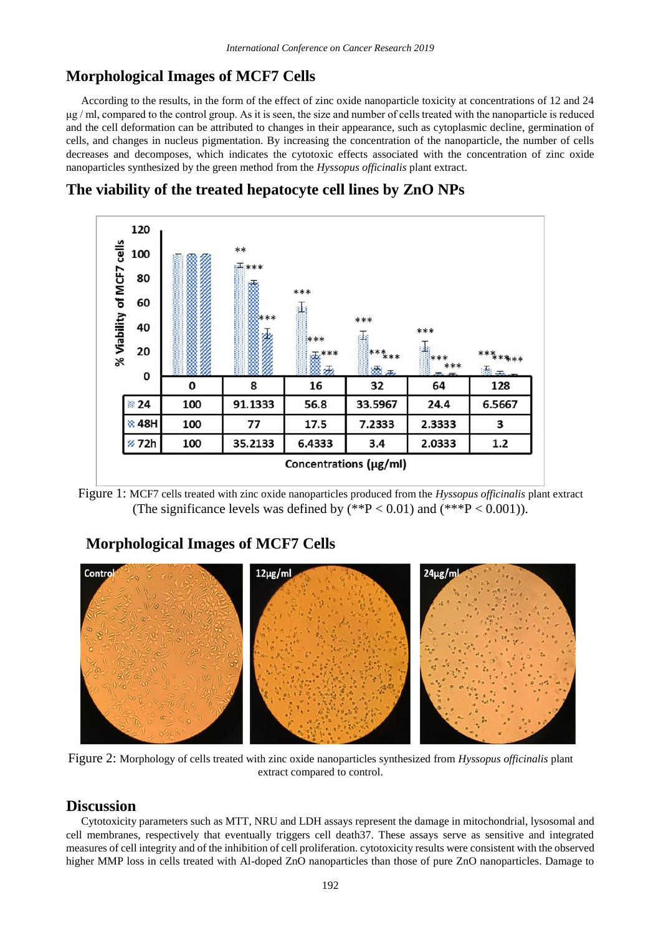## **Morphological Images of MCF7 Cells**

According to the results, in the form of the effect of zinc oxide nanoparticle toxicity at concentrations of 12 and 24 μg / ml, compared to the control group. As it is seen, the size and number of cells treated with the nanoparticle is reduced and the cell deformation can be attributed to changes in their appearance, such as cytoplasmic decline, germination of cells, and changes in nucleus pigmentation. By increasing the concentration of the nanoparticle, the number of cells decreases and decomposes, which indicates the cytotoxic effects associated with the concentration of zinc oxide nanoparticles synthesized by the green method from the *Hyssopus officinalis* plant extract.





Figure 1: MCF7 cells treated with zinc oxide nanoparticles produced from the *Hyssopus officinalis* plant extract (The significance levels was defined by  $(*P < 0.01)$  and  $(**P < 0.001)$ ).

## **Morphological Images of MCF7 Cells**



Figure 2: Morphology of cells treated with zinc oxide nanoparticles synthesized from *Hyssopus officinalis* plant extract compared to control.

## **Discussion**

Cytotoxicity parameters such as MTT, NRU and LDH assays represent the damage in mitochondrial, lysosomal and cell membranes, respectively that eventually triggers cell death37. These assays serve as sensitive and integrated measures of cell integrity and of the inhibition of cell proliferation. cytotoxicity results were consistent with the observed higher MMP loss in cells treated with Al-doped ZnO nanoparticles than those of pure ZnO nanoparticles. Damage to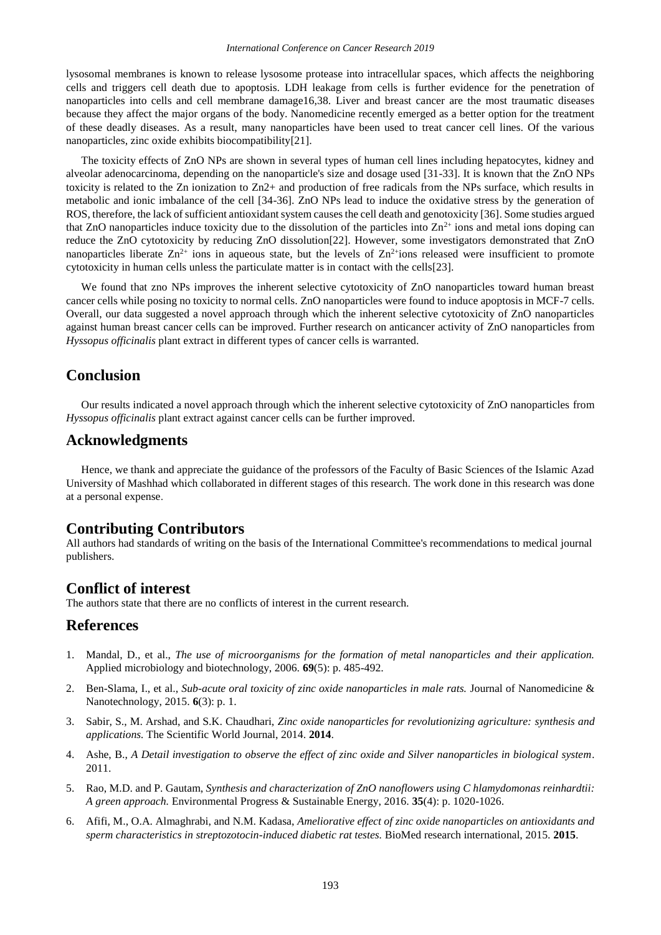lysosomal membranes is known to release lysosome protease into intracellular spaces, which affects the neighboring cells and triggers cell death due to apoptosis. LDH leakage from cells is further evidence for the penetration of nanoparticles into cells and cell membrane damage16,38. Liver and breast cancer are the most traumatic diseases because they affect the major organs of the body. Nanomedicine recently emerged as a better option for the treatment of these deadly diseases. As a result, many nanoparticles have been used to treat cancer cell lines. Of the various nanoparticles, zinc oxide exhibits biocompatibility[21].

The toxicity effects of ZnO NPs are shown in several types of human cell lines including hepatocytes, kidney and alveolar adenocarcinoma, depending on the nanoparticle's size and dosage used [31-33]. It is known that the ZnO NPs toxicity is related to the Zn ionization to Zn2+ and production of free radicals from the NPs surface, which results in metabolic and ionic imbalance of the cell [34-36]. ZnO NPs lead to induce the oxidative stress by the generation of ROS, therefore, the lack of sufficient antioxidant system causes the cell death and genotoxicity [36]. Some studies argued that ZnO nanoparticles induce toxicity due to the dissolution of the particles into  $\text{Zn}^{2+}$  ions and metal ions doping can reduce the ZnO cytotoxicity by reducing ZnO dissolution[22]. However, some investigators demonstrated that ZnO nanoparticles liberate  $Zn^{2+}$  ions in aqueous state, but the levels of  $Zn^{2+}$ ions released were insufficient to promote cytotoxicity in human cells unless the particulate matter is in contact with the cells[23].

We found that zno NPs improves the inherent selective cytotoxicity of ZnO nanoparticles toward human breast cancer cells while posing no toxicity to normal cells. ZnO nanoparticles were found to induce apoptosis in MCF-7 cells. Overall, our data suggested a novel approach through which the inherent selective cytotoxicity of ZnO nanoparticles against human breast cancer cells can be improved. Further research on anticancer activity of ZnO nanoparticles from *Hyssopus officinalis* plant extract in different types of cancer cells is warranted.

## **Conclusion**

Our results indicated a novel approach through which the inherent selective cytotoxicity of ZnO nanoparticles from *Hyssopus officinalis* plant extract against cancer cells can be further improved.

### **Acknowledgments**

Hence, we thank and appreciate the guidance of the professors of the Faculty of Basic Sciences of the Islamic Azad University of Mashhad which collaborated in different stages of this research. The work done in this research was done at a personal expense.

#### **Contributing Contributors**

All authors had standards of writing on the basis of the International Committee's recommendations to medical journal publishers.

#### **Conflict of interest**

The authors state that there are no conflicts of interest in the current research.

## **References**

- 1. Mandal, D., et al., *The use of microorganisms for the formation of metal nanoparticles and their application.* Applied microbiology and biotechnology, 2006. **69**(5): p. 485-492.
- 2. Ben-Slama, I., et al., *Sub-acute oral toxicity of zinc oxide nanoparticles in male rats.* Journal of Nanomedicine & Nanotechnology, 2015. **6**(3): p. 1.
- 3. Sabir, S., M. Arshad, and S.K. Chaudhari, *Zinc oxide nanoparticles for revolutionizing agriculture: synthesis and applications.* The Scientific World Journal, 2014. **2014**.
- 4. Ashe, B., *A Detail investigation to observe the effect of zinc oxide and Silver nanoparticles in biological system*. 2011.
- 5. Rao, M.D. and P. Gautam, *Synthesis and characterization of ZnO nanoflowers using C hlamydomonas reinhardtii: A green approach.* Environmental Progress & Sustainable Energy, 2016. **35**(4): p. 1020-1026.
- 6. Afifi, M., O.A. Almaghrabi, and N.M. Kadasa, *Ameliorative effect of zinc oxide nanoparticles on antioxidants and sperm characteristics in streptozotocin-induced diabetic rat testes.* BioMed research international, 2015. **2015**.